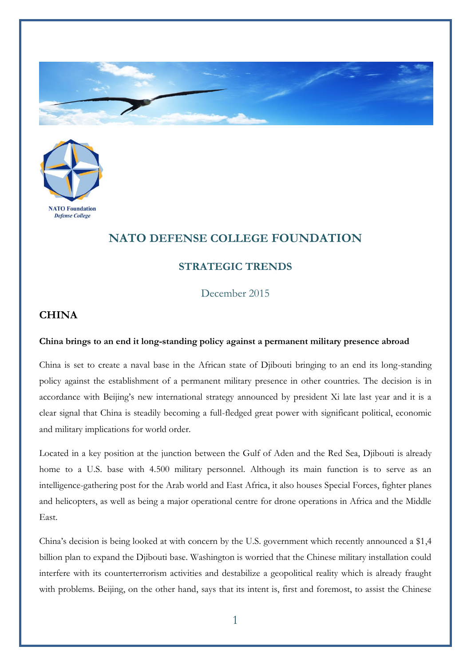



## **NATO DEFENSE COLLEGE FOUNDATION**

## **STRATEGIC TRENDS**

December 2015

## **CHINA**

## **China brings to an end it long-standing policy against a permanent military presence abroad**

China is set to create a naval base in the African state of Djibouti bringing to an end its long-standing policy against the establishment of a permanent military presence in other countries. The decision is in accordance with Beijing's new international strategy announced by president Xi late last year and it is a clear signal that China is steadily becoming a full-fledged great power with significant political, economic and military implications for world order.

Located in a key position at the junction between the Gulf of Aden and the Red Sea, Djibouti is already home to a U.S. base with 4.500 military personnel. Although its main function is to serve as an intelligence-gathering post for the Arab world and East Africa, it also houses Special Forces, fighter planes and helicopters, as well as being a major operational centre for drone operations in Africa and the Middle East.

China's decision is being looked at with concern by the U.S. government which recently announced a \$1,4 billion plan to expand the Djibouti base. Washington is worried that the Chinese military installation could interfere with its counterterrorism activities and destabilize a geopolitical reality which is already fraught with problems. Beijing, on the other hand, says that its intent is, first and foremost, to assist the Chinese